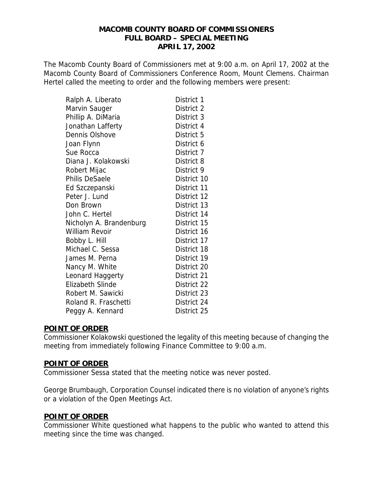The Macomb County Board of Commissioners met at 9:00 a.m. on April 17, 2002 at the Macomb County Board of Commissioners Conference Room, Mount Clemens. Chairman Hertel called the meeting to order and the following members were present:

| Ralph A. Liberato       | District 1  |
|-------------------------|-------------|
| Marvin Sauger           | District 2  |
| Phillip A. DiMaria      | District 3  |
| Jonathan Lafferty       | District 4  |
| Dennis Olshove          | District 5  |
| Joan Flynn              | District 6  |
| Sue Rocca               | District 7  |
| Diana J. Kolakowski     | District 8  |
| Robert Mijac            | District 9  |
| Philis DeSaele          | District 10 |
| Ed Szczepanski          | District 11 |
| Peter J. Lund           | District 12 |
| Don Brown               | District 13 |
| John C. Hertel          | District 14 |
| Nicholyn A. Brandenburg | District 15 |
| <b>William Revoir</b>   | District 16 |
| Bobby L. Hill           | District 17 |
| Michael C. Sessa        | District 18 |
| James M. Perna          | District 19 |
| Nancy M. White          | District 20 |
| Leonard Haggerty        | District 21 |
| <b>Elizabeth Slinde</b> | District 22 |
| Robert M. Sawicki       | District 23 |
| Roland R. Fraschetti    | District 24 |
| Peggy A. Kennard        | District 25 |

#### **POINT OF ORDER**

Commissioner Kolakowski questioned the legality of this meeting because of changing the meeting from immediately following Finance Committee to 9:00 a.m.

#### **POINT OF ORDER**

Commissioner Sessa stated that the meeting notice was never posted.

George Brumbaugh, Corporation Counsel indicated there is no violation of anyone's rights or a violation of the Open Meetings Act.

## **POINT OF ORDER**

Commissioner White questioned what happens to the public who wanted to attend this meeting since the time was changed.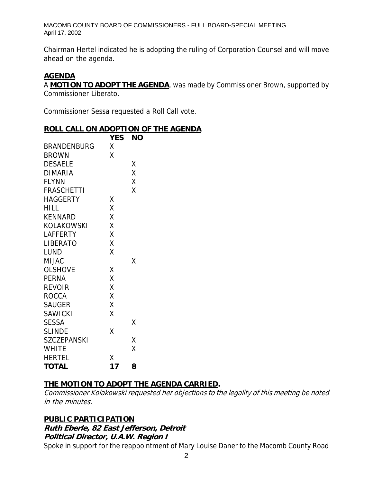Chairman Hertel indicated he is adopting the ruling of Corporation Counsel and will move ahead on the agenda.

#### **AGENDA**

A **MOTION TO ADOPT THE AGENDA**, was made by Commissioner Brown, supported by Commissioner Liberato.

Commissioner Sessa requested a Roll Call vote.

#### **ROLL CALL ON ADOPTION OF THE AGENDA**

|                    | <b>YES</b> | <b>NO</b> |
|--------------------|------------|-----------|
| <b>BRANDENBURG</b> | X          |           |
| <b>BROWN</b>       | X          |           |
| <b>DESAELE</b>     |            | Χ         |
| <b>DIMARIA</b>     |            | Χ         |
| <b>FLYNN</b>       |            | Χ         |
| <b>FRASCHETTI</b>  |            | X         |
| <b>HAGGERTY</b>    | Χ          |           |
| <b>HILL</b>        | X          |           |
| <b>KENNARD</b>     | X          |           |
| <b>KOLAKOWSKI</b>  | Χ          |           |
| <b>LAFFERTY</b>    | X          |           |
| <b>LIBERATO</b>    | X          |           |
| <b>LUND</b>        | X          |           |
| <b>MIJAC</b>       |            | Χ         |
| <b>OLSHOVE</b>     | Χ          |           |
| <b>PERNA</b>       | X          |           |
| <b>REVOIR</b>      | X          |           |
| <b>ROCCA</b>       | X          |           |
| <b>SAUGER</b>      | X          |           |
| <b>SAWICKI</b>     | Χ          |           |
| <b>SESSA</b>       |            | Χ         |
| <b>SLINDE</b>      | χ          |           |
| <b>SZCZEPANSKI</b> |            | Χ         |
| <b>WHITE</b>       |            | Χ         |
| <b>HERTEL</b>      | Χ          |           |
| <b>TOTAL</b>       | 17         | 8         |

## **THE MOTION TO ADOPT THE AGENDA CARRIED.**

Commissioner Kolakowski requested her objections to the legality of this meeting be noted in the minutes.

#### **PUBLIC PARTICIPATION**

# **Ruth Eberle, 82 East Jefferson, Detroit**

**Political Director, U.A.W. Region I** 

Spoke in support for the reappointment of Mary Louise Daner to the Macomb County Road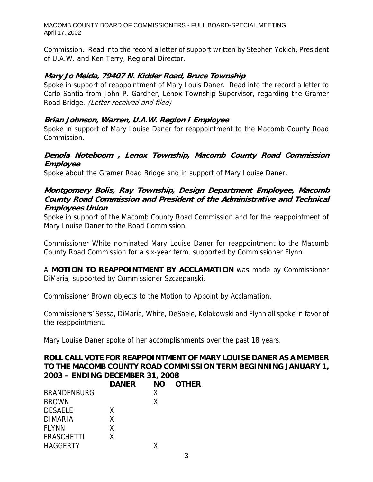Commission. Read into the record a letter of support written by Stephen Yokich, President of U.A.W. and Ken Terry, Regional Director.

#### **Mary Jo Meida, 79407 N. Kidder Road, Bruce Township**

Spoke in support of reappointment of Mary Louis Daner. Read into the record a letter to Carlo Santia from John P. Gardner, Lenox Township Supervisor, regarding the Gramer Road Bridge. (Letter received and filed)

#### **Brian Johnson, Warren, U.A.W. Region I Employee**

Spoke in support of Mary Louise Daner for reappointment to the Macomb County Road Commission.

#### **Denola Noteboom , Lenox Township, Macomb County Road Commission Employee**

Spoke about the Gramer Road Bridge and in support of Mary Louise Daner.

#### **Montgomery Bolis, Ray Township, Design Department Employee, Macomb County Road Commission and President of the Administrative and Technical Employees Union**

Spoke in support of the Macomb County Road Commission and for the reappointment of Mary Louise Daner to the Road Commission.

Commissioner White nominated Mary Louise Daner for reappointment to the Macomb County Road Commission for a six-year term, supported by Commissioner Flynn.

A **MOTION TO REAPPOINTMENT BY ACCLAMATION** was made by Commissioner DiMaria, supported by Commissioner Szczepanski.

Commissioner Brown objects to the Motion to Appoint by Acclamation.

Commissioners' Sessa, DiMaria, White, DeSaele, Kolakowski and Flynn all spoke in favor of the reappointment.

Mary Louise Daner spoke of her accomplishments over the past 18 years.

|                                 |              |           |              | ROLL CALL VOTE FOR REAPPOINTMENT OF MARY LOUISE DANER AS A MEMBER |
|---------------------------------|--------------|-----------|--------------|-------------------------------------------------------------------|
|                                 |              |           |              | TO THE MACOMB COUNTY ROAD COMMISSION TERM BEGINNING JANUARY 1,    |
| 2003 - ENDING DECEMBER 31, 2008 |              |           |              |                                                                   |
|                                 | <b>DANER</b> | <b>NO</b> | <b>OTHER</b> |                                                                   |
| <b>BRANDENBURG</b>              |              |           |              |                                                                   |
| <b>BROWN</b>                    |              | Χ         |              |                                                                   |
| <b>DESAELE</b>                  |              |           |              |                                                                   |
| <b>DIMARIA</b>                  |              |           |              |                                                                   |
| FLYNN                           | x            |           |              |                                                                   |
| <b>FRASCHETTI</b>               |              |           |              |                                                                   |
| <b>HAGGERTY</b>                 |              |           |              |                                                                   |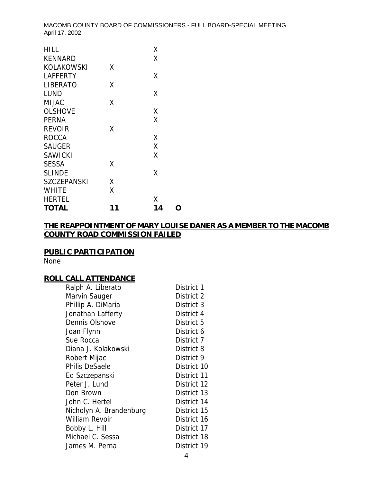| <b>HILL</b>        |    | Χ  |   |
|--------------------|----|----|---|
| <b>KENNARD</b>     |    | χ  |   |
| KOLAKOWSKI         | χ  |    |   |
| <b>LAFFERTY</b>    |    | X  |   |
| <b>LIBERATO</b>    | χ  |    |   |
| LUND               |    | X  |   |
| <b>MIJAC</b>       | χ  |    |   |
| <b>OLSHOVE</b>     |    | X  |   |
| <b>PERNA</b>       |    | χ  |   |
| <b>REVOIR</b>      | Χ  |    |   |
| <b>ROCCA</b>       |    | Χ  |   |
| <b>SAUGER</b>      |    | X  |   |
| <b>SAWICKI</b>     |    | χ  |   |
| <b>SESSA</b>       | Χ  |    |   |
| <b>SLINDE</b>      |    | Χ  |   |
| <b>SZCZEPANSKI</b> | X  |    |   |
| <b>WHITE</b>       | χ  |    |   |
| <b>HERTEL</b>      |    | χ  |   |
| <b>TOTAL</b>       | 11 | 14 | 0 |

# **THE REAPPOINTMENT OF MARY LOUISE DANER AS A MEMBER TO THE MACOMB COUNTY ROAD COMMISSION FAILED**

# **PUBLIC PARTICIPATION**

None

# **ROLL CALL ATTENDANCE**

| Ralph A. Liberato       | District 1  |
|-------------------------|-------------|
| Marvin Sauger           | District 2  |
| Phillip A. DiMaria      | District 3  |
| Jonathan Lafferty       | District 4  |
| Dennis Olshove          | District 5  |
| Joan Flynn              | District 6  |
| Sue Rocca               | District 7  |
| Diana J. Kolakowski     | District 8  |
| Robert Mijac            | District 9  |
| <b>Philis DeSaele</b>   | District 10 |
| Ed Szczepanski          | District 11 |
| Peter J. Lund           | District 12 |
| Don Brown               | District 13 |
| John C. Hertel          | District 14 |
| Nicholyn A. Brandenburg | District 15 |
| William Revoir          | District 16 |
| Bobby L. Hill           | District 17 |
| Michael C. Sessa        | District 18 |
| James M. Perna          | District 19 |